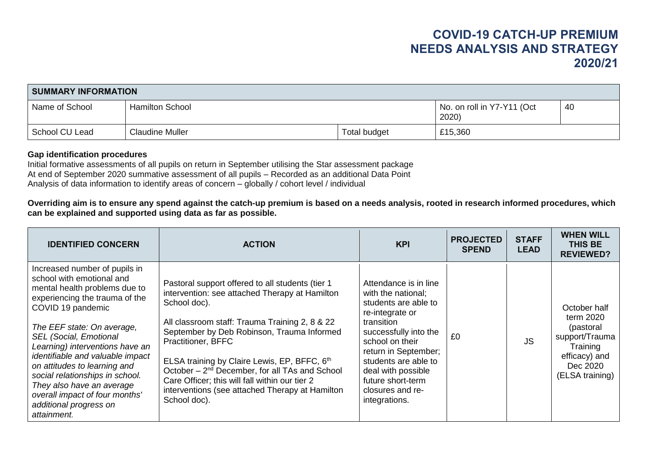| <b>SUMMARY INFORMATION</b> |                        |              |                                    |    |  |  |  |  |
|----------------------------|------------------------|--------------|------------------------------------|----|--|--|--|--|
| Name of School             | <b>Hamilton School</b> |              | No. on roll in Y7-Y11 (Oct<br>2020 | 40 |  |  |  |  |
| School CU Lead             | <b>Claudine Muller</b> | Total budget | £15,360                            |    |  |  |  |  |

## **Gap identification procedures**

Initial formative assessments of all pupils on return in September utilising the Star assessment package At end of September 2020 summative assessment of all pupils – Recorded as an additional Data Point Analysis of data information to identify areas of concern – globally / cohort level / individual

**Overriding aim is to ensure any spend against the catch-up premium is based on a needs analysis, rooted in research informed procedures, which can be explained and supported using data as far as possible.**

| <b>IDENTIFIED CONCERN</b>                                                                                                                                                                                                                                                                                                                                                                                                                                           | <b>ACTION</b>                                                                                                                                                                                                                                                                                                                                                                                                                                                               | <b>KPI</b>                                                                                                                                                                                                                                                                       | <b>PROJECTED</b><br><b>SPEND</b> | <b>STAFF</b><br><b>LEAD</b> | <b>WHEN WILL</b><br><b>THIS BE</b><br><b>REVIEWED?</b>                                                               |
|---------------------------------------------------------------------------------------------------------------------------------------------------------------------------------------------------------------------------------------------------------------------------------------------------------------------------------------------------------------------------------------------------------------------------------------------------------------------|-----------------------------------------------------------------------------------------------------------------------------------------------------------------------------------------------------------------------------------------------------------------------------------------------------------------------------------------------------------------------------------------------------------------------------------------------------------------------------|----------------------------------------------------------------------------------------------------------------------------------------------------------------------------------------------------------------------------------------------------------------------------------|----------------------------------|-----------------------------|----------------------------------------------------------------------------------------------------------------------|
| Increased number of pupils in<br>school with emotional and<br>mental health problems due to<br>experiencing the trauma of the<br>COVID 19 pandemic<br>The EEF state: On average,<br><b>SEL (Social, Emotional</b><br>Learning) interventions have an<br>identifiable and valuable impact<br>on attitudes to learning and<br>social relationships in school.<br>They also have an average<br>overall impact of four months'<br>additional progress on<br>attainment. | Pastoral support offered to all students (tier 1<br>intervention: see attached Therapy at Hamilton<br>School doc).<br>All classroom staff: Trauma Training 2, 8 & 22<br>September by Deb Robinson, Trauma Informed<br>Practitioner, BFFC<br>ELSA training by Claire Lewis, EP, BFFC, 6th<br>October – 2 <sup>nd</sup> December, for all TAs and School<br>Care Officer; this will fall within our tier 2<br>interventions (see attached Therapy at Hamilton<br>School doc). | Attendance is in line<br>with the national;<br>students are able to<br>re-integrate or<br>transition<br>successfully into the<br>school on their<br>return in September;<br>students are able to<br>deal with possible<br>future short-term<br>closures and re-<br>integrations. | £0                               | <b>JS</b>                   | October half<br>term 2020<br>(pastoral<br>support/Trauma<br>Training<br>efficacy) and<br>Dec 2020<br>(ELSA training) |